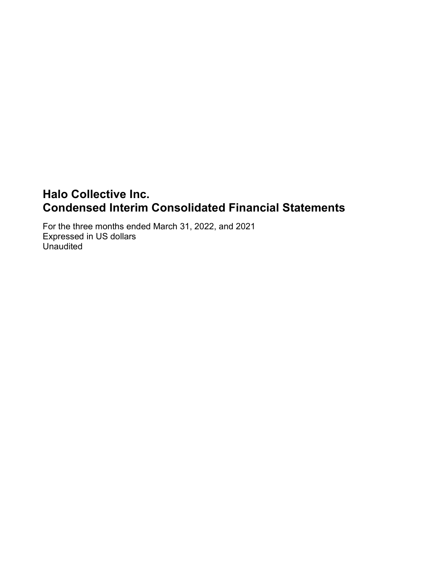# Halo Collective Inc. Condensed Interim Consolidated Financial Statements

For the three months ended March 31, 2022, and 2021 Expressed in US dollars Unaudited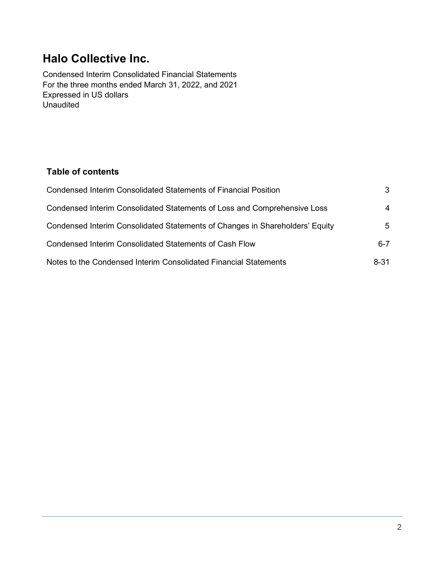# Halo Collective Inc.

Condensed Interim Consolidated Financial Statements For the three months ended March 31, 2022, and 2021 Expressed in US dollars **Unaudited** 

# Table of contents

| <b>Condensed Interim Consolidated Statements of Financial Position</b>       | 3        |
|------------------------------------------------------------------------------|----------|
| Condensed Interim Consolidated Statements of Loss and Comprehensive Loss     | 4        |
| Condensed Interim Consolidated Statements of Changes in Shareholders' Equity | 5        |
| <b>Condensed Interim Consolidated Statements of Cash Flow</b>                | $6 - 7$  |
| Notes to the Condensed Interim Consolidated Financial Statements             | $8 - 31$ |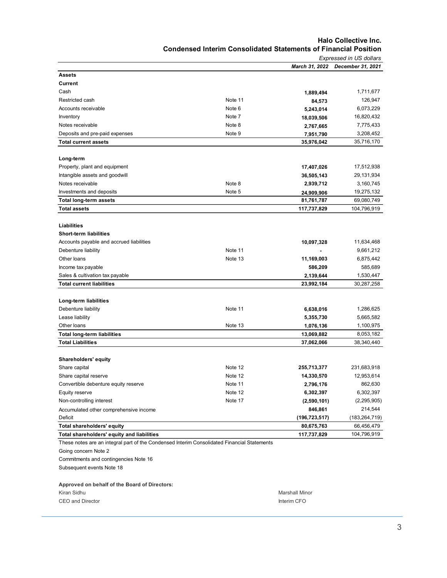#### Halo Collective Inc. Condensed Interim Consolidated Statements of Financial Position

|                                                                                                                                                                                           |         |                 | Expressed in US dollars |
|-------------------------------------------------------------------------------------------------------------------------------------------------------------------------------------------|---------|-----------------|-------------------------|
|                                                                                                                                                                                           |         | March 31, 2022  | December 31, 2021       |
| <b>Assets</b>                                                                                                                                                                             |         |                 |                         |
| Current                                                                                                                                                                                   |         |                 |                         |
| Cash                                                                                                                                                                                      |         | 1,889,494       | 1,711,677               |
| Restricted cash                                                                                                                                                                           | Note 11 | 84,573          | 126,947                 |
| Accounts receivable                                                                                                                                                                       | Note 6  | 5,243,014       | 6,073,229               |
| Inventory                                                                                                                                                                                 | Note 7  | 18,039,506      | 16,820,432              |
| Notes receivable                                                                                                                                                                          | Note 8  | 2,767,665       | 7,775,433               |
| Deposits and pre-paid expenses                                                                                                                                                            | Note 9  | 7,951,790       | 3,208,452               |
| <b>Total current assets</b>                                                                                                                                                               |         | 35,976,042      | 35,716,170              |
|                                                                                                                                                                                           |         |                 |                         |
| Long-term                                                                                                                                                                                 |         |                 |                         |
| Property, plant and equipment                                                                                                                                                             |         | 17,407,026      | 17,512,938              |
| Intangible assets and goodwill                                                                                                                                                            |         | 36,505,143      | 29,131,934              |
| Notes receivable                                                                                                                                                                          | Note 8  | 2,939,712       | 3,160,745               |
| Investments and deposits                                                                                                                                                                  | Note 5  | 24,909,906      | 19,275,132              |
| <b>Total long-term assets</b>                                                                                                                                                             |         | 81,761,787      | 69,080,749              |
| <b>Total assets</b>                                                                                                                                                                       |         | 117,737,829     | 104,796,919             |
|                                                                                                                                                                                           |         |                 |                         |
| <b>Liabilities</b><br><b>Short-term liabilities</b>                                                                                                                                       |         |                 |                         |
|                                                                                                                                                                                           |         |                 |                         |
| Accounts payable and accrued liabilities                                                                                                                                                  | Note 11 | 10,097,328      | 11,634,468              |
| Debenture liability                                                                                                                                                                       |         |                 | 9,661,212               |
| Other loans                                                                                                                                                                               | Note 13 | 11,169,003      | 6,875,442               |
| Income tax payable                                                                                                                                                                        |         | 586,209         | 585,689                 |
| Sales & cultivation tax payable                                                                                                                                                           |         | 2,139,644       | 1,530,447               |
| <b>Total current liabilities</b>                                                                                                                                                          |         | 23,992,184      | 30,287,258              |
| Long-term liabilities                                                                                                                                                                     |         |                 |                         |
| Debenture liability                                                                                                                                                                       | Note 11 | 6,638,016       | 1,286,625               |
| Lease liability                                                                                                                                                                           |         | 5,355,730       | 5,665,582               |
| Other loans                                                                                                                                                                               | Note 13 | 1,076,136       | 1,100,975               |
| <b>Total long-term liabilities</b>                                                                                                                                                        |         | 13,069,882      | 8,053,182               |
| <b>Total Liabilities</b>                                                                                                                                                                  |         | 37,062,066      | 38,340,440              |
|                                                                                                                                                                                           |         |                 |                         |
| Shareholders' equity                                                                                                                                                                      |         |                 |                         |
| Share capital                                                                                                                                                                             | Note 12 | 255,713,377     | 231,683,918             |
| Share capital reserve                                                                                                                                                                     | Note 12 | 14,330,570      | 12,953,614              |
| Convertible debenture equity reserve                                                                                                                                                      | Note 11 | 2,796,176       | 862,630                 |
| Equity reserve                                                                                                                                                                            | Note 12 | 6,302,397       | 6,302,397               |
| Non-controlling interest                                                                                                                                                                  | Note 17 | (2,590,101)     | (2, 295, 905)           |
| Accumulated other comprehensive income                                                                                                                                                    |         | 846,861         | 214,544                 |
| Deficit                                                                                                                                                                                   |         | (196, 723, 517) | (183,264,719)           |
| Total shareholders' equity                                                                                                                                                                |         | 80,675,763      | 66,456,479              |
| Total shareholders' equity and liabilities                                                                                                                                                |         | 117,737,829     | 104,796,919             |
| These notes are an integral part of the Condensed Interim Consolidated Financial Statements<br>Going concern Note 2<br>Commitments and contingencies Note 16<br>Subsequent events Note 18 |         |                 |                         |

#### Approved on behalf of the Board of Directors:

| Kiran Sidhu      |  |
|------------------|--|
| CEO and Director |  |

Marshall Minor Interim CFO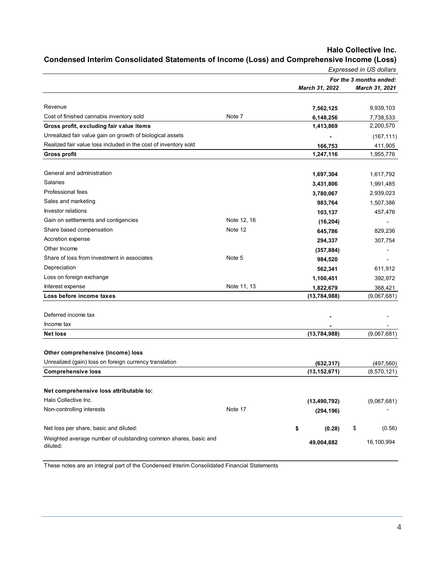|                                                                             |             |                | <b>Expressed in US dollars</b> |
|-----------------------------------------------------------------------------|-------------|----------------|--------------------------------|
|                                                                             |             |                | For the 3 months ended:        |
|                                                                             |             | March 31, 2022 | March 31, 2021                 |
|                                                                             |             |                |                                |
| Revenue                                                                     |             | 7,562,125      | 9,939,103                      |
| Cost of finished cannabis inventory sold                                    | Note 7      | 6,148,256      | 7,738,533                      |
| Gross profit, excluding fair value items                                    |             | 1,413,869      | 2,200,570                      |
| Unrealized fair value gain on growth of biological assets                   |             |                | (167, 111)                     |
| Realized fair value loss included in the cost of inventory sold             |             | 166,753        | 411,905                        |
| <b>Gross profit</b>                                                         |             | 1,247,116      | 1,955,776                      |
| General and administration                                                  |             | 1,697,304      | 1,617,792                      |
| Salaries                                                                    |             | 3,431,806      | 1,991,485                      |
| Professional fees                                                           |             | 3,780,067      | 2,939,023                      |
| Sales and marketing                                                         |             | 983,764        | 1,507,386                      |
| Investor relations                                                          |             | 103,137        | 457,476                        |
| Gain on settlements and contigencies                                        | Note 12, 16 | (16, 204)      |                                |
| Share based compensation                                                    | Note 12     | 645,786        | 829,236                        |
| Accretion expense                                                           |             | 294,337        | 307,754                        |
| Other Income                                                                |             | (357, 884)     |                                |
| Share of loss from investment in associates                                 | Note 5      | 984,520        |                                |
| Depreciation                                                                |             | 562,341        | 611,912                        |
| Loss on foreign exchange                                                    |             | 1,100,451      | 392,972                        |
| Interest expense                                                            | Note 11, 13 | 1,822,679      | 368,421                        |
| Loss before income taxes                                                    |             | (13,784,988)   | (9,067,681)                    |
| Deferred income tax                                                         |             |                |                                |
| Income tax                                                                  |             |                |                                |
| <b>Net loss</b>                                                             |             | (13,784,988)   | (9,067,681)                    |
|                                                                             |             |                |                                |
| Other comprehensive (income) loss                                           |             |                |                                |
| Unrealized (gain) loss on foreign currency translation                      |             | (632, 317)     | (497, 560)                     |
| <b>Comprehensive loss</b>                                                   |             | (13, 152, 671) | (8,570,121)                    |
| Net comprehensive loss attributable to:                                     |             |                |                                |
| Halo Collective Inc.                                                        |             | (13, 490, 792) | (9,067,681)                    |
| Non-controlling interests                                                   | Note 17     | (294, 196)     |                                |
|                                                                             |             |                |                                |
| Net loss per share, basic and diluted:                                      |             | \$<br>(0.28)   | \$<br>(0.56)                   |
| Weighted average number of outstanding common shares, basic and<br>diluted: |             | 49,004,882     | 16,100,994                     |

# Condensed Interim Consolidated Statements of Income (Loss) and Comprehensive Income (Loss)

These notes are an integral part of the Condensed Interim Consolidated Financial Statements

Halo Collective Inc.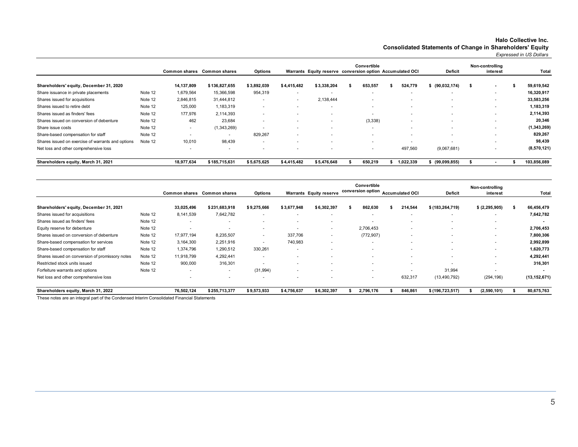#### Halo Collective Inc. Consolidated Statements of Change in Shareholders' Equity

Expressed in US Dollars

|                                                   |         |                          | Common shares Common shares | <b>Options</b>           |                          | Warrants Equity reserve conversion option Accumulated OCI | Convertible |                          | <b>Deficit</b>           | Non-controlling<br>interest | Total         |
|---------------------------------------------------|---------|--------------------------|-----------------------------|--------------------------|--------------------------|-----------------------------------------------------------|-------------|--------------------------|--------------------------|-----------------------------|---------------|
| Shareholders' equity, December 31, 2020           |         | 14,137,809               | \$136,827,655               | \$3,892,039              | \$4,415,482              | \$3,338,204                                               | 653,557     | 524,779                  | (90, 032, 174)           | $\sim$                      | 59,619,542    |
| Share issuance in private placements              | Note 12 | 1,679,564                | 15,366,598                  | 954,319                  | $\overline{\phantom{a}}$ |                                                           |             |                          | ۰                        |                             | 16,320,917    |
| Shares issued for acquisitions                    | Note 12 | 2,846,815                | 31,444,812                  |                          | $\sim$                   | 2.138.444                                                 |             |                          |                          |                             | 33,583,256    |
| Shares issued to retire debt                      | Note 12 | 125,000                  | 1,183,319                   | $\overline{\phantom{a}}$ | $\sim$                   |                                                           |             | $\overline{\phantom{a}}$ | ۰                        |                             | 1,183,319     |
| Shares issued as finders' fees                    | Note 12 | 177,976                  | 2,114,393                   | $\overline{\phantom{a}}$ |                          |                                                           |             |                          |                          |                             | 2,114,393     |
| Shares issued on conversion of debenture          | Note 12 | 462                      | 23,684                      | $\overline{\phantom{a}}$ |                          |                                                           | (3,338)     | $\overline{\phantom{a}}$ | $\overline{\phantom{a}}$ |                             | 20,346        |
| Share issue costs                                 | Note 12 | $\overline{\phantom{a}}$ | (1,343,269)                 |                          |                          |                                                           |             |                          |                          |                             | (1, 343, 269) |
| Share-based compensation for staff                | Note 12 | $\overline{\phantom{a}}$ |                             | 829,267                  |                          |                                                           |             | $\overline{\phantom{a}}$ | ۰                        |                             | 829,267       |
| Shares issued on exercise of warrants and options | Note 12 | 10,010                   | 98,439                      | $\overline{\phantom{a}}$ |                          |                                                           |             |                          | ۰                        |                             | 98,439        |
| Net loss and other comprehensive loss             |         | $\overline{\phantom{a}}$ |                             |                          |                          |                                                           | $\sim$      | 497,560                  | (9,067,681)              |                             | (8,570,121)   |
| Shareholders equity, March 31, 2021               |         | 18,977,634               | \$185,715,631               | \$5,675,625              | \$4,415,482              | \$5,476,648                                               | 650,219     | 1,022,339                | (99,099,855)             |                             | 103,856,089   |

|                                                                                              |         |                          |                      |                |                          |                         | Convertible<br>conversion option |            |  |                          | Non-controlling   |                |                |
|----------------------------------------------------------------------------------------------|---------|--------------------------|----------------------|----------------|--------------------------|-------------------------|----------------------------------|------------|--|--------------------------|-------------------|----------------|----------------|
|                                                                                              |         | <b>Common shares</b>     | <b>Common shares</b> | <b>Options</b> |                          | Warrants Equity reserve |                                  |            |  | <b>Accumulated OCI</b>   | <b>Deficit</b>    | interest       | Total          |
| Shareholders' equity, December 31, 2021                                                      |         | 33,025,496               | \$231,683,918        | \$9,275,666    | \$3,677,948              | \$6,302,397             |                                  | 862,630    |  | 214,544                  | \$(183, 264, 719) | \$ (2,295,905) | 66,456,479     |
| Shares issued for acquisitions                                                               | Note 12 | 8,141,539                | 7,642,782            |                | $\overline{\phantom{a}}$ |                         |                                  |            |  |                          | . .               | . .            | 7,642,782      |
| Shares issued as finders' fees                                                               | Note 12 | . .                      |                      |                |                          |                         |                                  |            |  |                          |                   | . .            |                |
| Equity reserve for debenture                                                                 | Note 12 |                          |                      |                |                          | . .                     |                                  | 2,706,453  |  | ۰                        |                   |                | 2,706,453      |
| Shares issued on conversion of debenture                                                     | Note 12 | 17,977,194               | 8,235,507            | $\sim$         | 337.706                  | $\sim$                  |                                  | (772, 907) |  | $\overline{\phantom{a}}$ |                   |                | 7,800,306      |
| Share-based compensation for services                                                        | Note 12 | 3,164,300                | 2,251,916            |                | 740,983                  |                         |                                  |            |  |                          |                   |                | 2,992,899      |
| Share-based compensation for staff                                                           | Note 12 | 1,374,796                | 1,290,512            | 330,261        | $\overline{\phantom{a}}$ |                         |                                  |            |  |                          |                   |                | 1,620,773      |
| Shares issued on conversion of promissory notes                                              | Note 12 | 11,918,799               | 4,292,441            | ۰              |                          |                         |                                  |            |  |                          |                   |                | 4,292,441      |
| Restricted stock units issued                                                                | Note 12 | 900,000                  | 316,301              |                |                          |                         |                                  |            |  |                          |                   |                | 316,301        |
| Forfeiture warrants and options                                                              | Note 12 | $\overline{\phantom{a}}$ | $\sim$               | (31, 994)      | $\overline{\phantom{a}}$ |                         |                                  |            |  |                          | 31,994            |                |                |
| Net loss and other comprehensive loss                                                        |         |                          |                      |                |                          |                         |                                  | . .        |  | 632,317                  | (13,490,792)      | (294, 196)     | (13, 152, 671) |
| Shareholders equity, March 31, 2022                                                          |         | 76,502,124               | \$255,713,377        | \$9,573,933    | \$4,756,637              | \$6,302,397             |                                  | 2,796,176  |  | 846,861                  | \$(196, 723, 517) | (2,590,101)    | 80,675,763     |
| These natus are no integral next of the Constanced Integior Conseilated Financial Ototomonte |         |                          |                      |                |                          |                         |                                  |            |  |                          |                   |                |                |

These notes are an integral part of the Condensed Interim Consolidated Financial Statements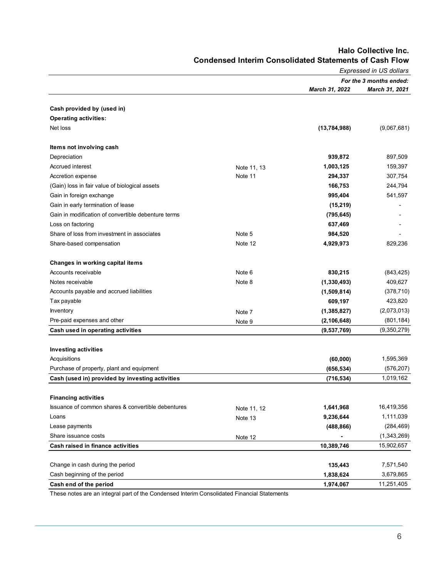|                                                     |                        | Expressed in US dollars |                         |  |  |  |
|-----------------------------------------------------|------------------------|-------------------------|-------------------------|--|--|--|
|                                                     |                        |                         | For the 3 months ended: |  |  |  |
|                                                     |                        | March 31, 2022          | <b>March 31, 2021</b>   |  |  |  |
|                                                     |                        |                         |                         |  |  |  |
| Cash provided by (used in)                          |                        |                         |                         |  |  |  |
| <b>Operating activities:</b>                        |                        |                         |                         |  |  |  |
| Net loss                                            |                        | (13, 784, 988)          | (9,067,681)             |  |  |  |
| Items not involving cash                            |                        |                         |                         |  |  |  |
| Depreciation                                        |                        | 939,872                 | 897,509                 |  |  |  |
| Accrued interest                                    | Note 11, 13            | 1,003,125               | 159,397                 |  |  |  |
| Accretion expense                                   | Note 11                | 294,337                 | 307,754                 |  |  |  |
| (Gain) loss in fair value of biological assets      |                        | 166,753                 | 244,794                 |  |  |  |
| Gain in foreign exchange                            |                        | 995,404                 | 541,597                 |  |  |  |
| Gain in early termination of lease                  |                        | (15, 219)               |                         |  |  |  |
| Gain in modification of convertible debenture terms |                        | (795, 645)              |                         |  |  |  |
| Loss on factoring                                   |                        | 637,469                 |                         |  |  |  |
| Share of loss from investment in associates         | Note 5                 | 984,520                 |                         |  |  |  |
| Share-based compensation                            | Note 12                | 4,929,973               | 829,236                 |  |  |  |
| Changes in working capital items                    |                        |                         |                         |  |  |  |
| Accounts receivable                                 | Note 6                 | 830,215                 | (843, 425)              |  |  |  |
| Notes receivable                                    | Note 8                 | (1, 330, 493)           | 409,627                 |  |  |  |
| Accounts payable and accrued liabilities            |                        | (1,509,814)             | (378, 710)              |  |  |  |
| Tax payable                                         |                        | 609,197                 | 423,820                 |  |  |  |
| Inventory                                           | Note 7                 | (1, 385, 827)           | (2,073,013)             |  |  |  |
| Pre-paid expenses and other                         | Note 9                 | (2, 106, 648)           | (801, 184)              |  |  |  |
| Cash used in operating activities                   |                        | (9,537,769)             | (9,350,279)             |  |  |  |
|                                                     |                        |                         |                         |  |  |  |
| <b>Investing activities</b>                         |                        |                         |                         |  |  |  |
| Acquisitions                                        |                        | (60,000)                | 1,595,369               |  |  |  |
| Purchase of property, plant and equipment           |                        | (656, 534)              | (576, 207)              |  |  |  |
| Cash (used in) provided by investing activities     |                        | (716, 534)              | 1,019,162               |  |  |  |
| <b>Financing activities</b>                         |                        |                         |                         |  |  |  |
| Issuance of common shares & convertible debentures  |                        | 1,641,968               | 16,419,356              |  |  |  |
| Loans                                               | Note 11, 12<br>Note 13 | 9,236,644               | 1,111,039               |  |  |  |
| Lease payments                                      |                        | (488, 866)              | (284, 469)              |  |  |  |
| Share issuance costs                                |                        |                         | (1,343,269)             |  |  |  |
| Cash raised in finance activities                   | Note 12                | 10,389,746              | 15,902,657              |  |  |  |
|                                                     |                        |                         |                         |  |  |  |
| Change in cash during the period                    |                        | 135,443                 | 7,571,540               |  |  |  |
| Cash beginning of the period                        |                        | 1,838,624               | 3,679,865               |  |  |  |
| Cash end of the period                              |                        | 1,974,067               | 11,251,405              |  |  |  |

## Halo Collective Inc. Condensed Interim Consolidated Statements of Cash Flow

These notes are an integral part of the Condensed Interim Consolidated Financial Statements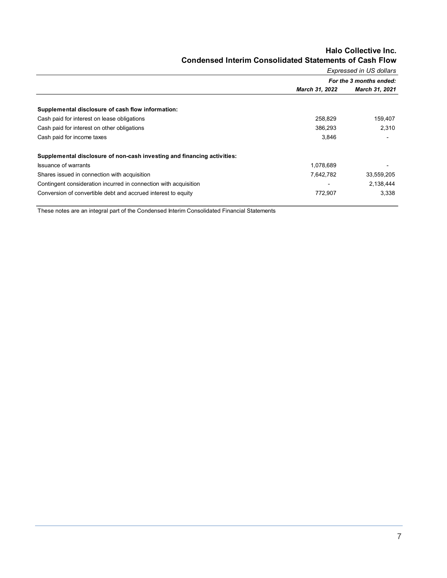#### Halo Collective Inc. Condensed Interim Consolidated Statements of Cash Flow Expressed in US dollars

|                                                                         | Expressed in US dollars |                         |  |  |  |  |
|-------------------------------------------------------------------------|-------------------------|-------------------------|--|--|--|--|
|                                                                         |                         | For the 3 months ended: |  |  |  |  |
|                                                                         | March 31, 2022          | March 31, 2021          |  |  |  |  |
|                                                                         |                         |                         |  |  |  |  |
| Supplemental disclosure of cash flow information:                       |                         |                         |  |  |  |  |
| Cash paid for interest on lease obligations                             | 258,829                 | 159,407                 |  |  |  |  |
| Cash paid for interest on other obligations                             | 386.293                 | 2,310                   |  |  |  |  |
| Cash paid for income taxes                                              | 3,846                   |                         |  |  |  |  |
| Supplemental disclosure of non-cash investing and financing activities: |                         |                         |  |  |  |  |
| <b>Issuance of warrants</b>                                             | 1,078,689               |                         |  |  |  |  |
| Shares issued in connection with acquisition                            | 7,642,782               | 33,559,205              |  |  |  |  |
| Contingent consideration incurred in connection with acquisition        |                         | 2,138,444               |  |  |  |  |
| Conversion of convertible debt and accrued interest to equity           | 772,907                 | 3,338                   |  |  |  |  |

These notes are an integral part of the Condensed Interim Consolidated Financial Statements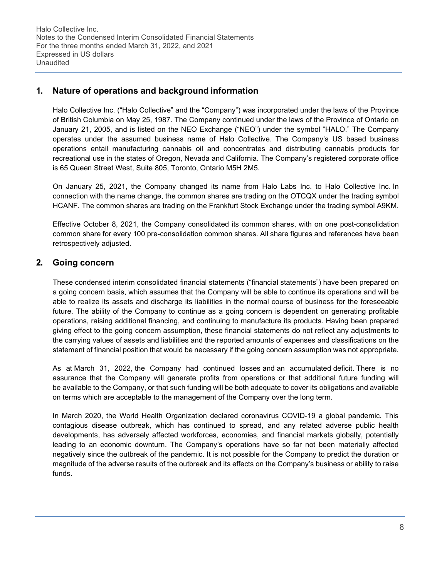# 1. Nature of operations and background information

Halo Collective Inc. ("Halo Collective" and the "Company") was incorporated under the laws of the Province of British Columbia on May 25, 1987. The Company continued under the laws of the Province of Ontario on January 21, 2005, and is listed on the NEO Exchange ("NEO") under the symbol "HALO." The Company operates under the assumed business name of Halo Collective. The Company's US based business operations entail manufacturing cannabis oil and concentrates and distributing cannabis products for recreational use in the states of Oregon, Nevada and California. The Company's registered corporate office is 65 Queen Street West, Suite 805, Toronto, Ontario M5H 2M5.

On January 25, 2021, the Company changed its name from Halo Labs Inc. to Halo Collective Inc. In connection with the name change, the common shares are trading on the OTCQX under the trading symbol HCANF. The common shares are trading on the Frankfurt Stock Exchange under the trading symbol A9KM.

Effective October 8, 2021, the Company consolidated its common shares, with on one post-consolidation common share for every 100 pre-consolidation common shares. All share figures and references have been retrospectively adjusted.

# 2. Going concern

These condensed interim consolidated financial statements ("financial statements") have been prepared on a going concern basis, which assumes that the Company will be able to continue its operations and will be able to realize its assets and discharge its liabilities in the normal course of business for the foreseeable future. The ability of the Company to continue as a going concern is dependent on generating profitable operations, raising additional financing, and continuing to manufacture its products. Having been prepared giving effect to the going concern assumption, these financial statements do not reflect any adjustments to the carrying values of assets and liabilities and the reported amounts of expenses and classifications on the statement of financial position that would be necessary if the going concern assumption was not appropriate.

As at March 31, 2022, the Company had continued losses and an accumulated deficit. There is no assurance that the Company will generate profits from operations or that additional future funding will be available to the Company, or that such funding will be both adequate to cover its obligations and available on terms which are acceptable to the management of the Company over the long term.

In March 2020, the World Health Organization declared coronavirus COVID-19 a global pandemic. This contagious disease outbreak, which has continued to spread, and any related adverse public health developments, has adversely affected workforces, economies, and financial markets globally, potentially leading to an economic downturn. The Company's operations have so far not been materially affected negatively since the outbreak of the pandemic. It is not possible for the Company to predict the duration or magnitude of the adverse results of the outbreak and its effects on the Company's business or ability to raise funds.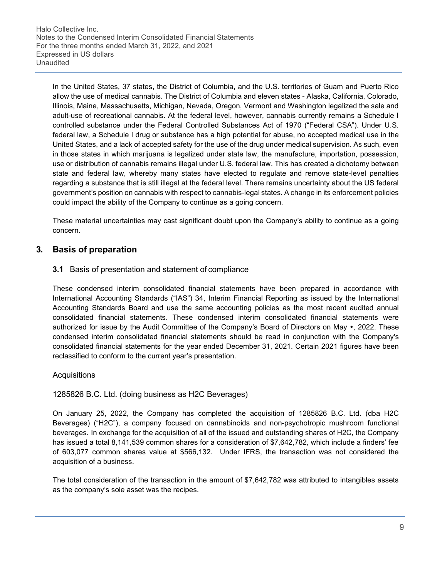In the United States, 37 states, the District of Columbia, and the U.S. territories of Guam and Puerto Rico allow the use of medical cannabis. The District of Columbia and eleven states - Alaska, California, Colorado, Illinois, Maine, Massachusetts, Michigan, Nevada, Oregon, Vermont and Washington legalized the sale and adult-use of recreational cannabis. At the federal level, however, cannabis currently remains a Schedule I controlled substance under the Federal Controlled Substances Act of 1970 ("Federal CSA"). Under U.S. federal law, a Schedule I drug or substance has a high potential for abuse, no accepted medical use in the United States, and a lack of accepted safety for the use of the drug under medical supervision. As such, even in those states in which marijuana is legalized under state law, the manufacture, importation, possession, use or distribution of cannabis remains illegal under U.S. federal law. This has created a dichotomy between state and federal law, whereby many states have elected to regulate and remove state-level penalties regarding a substance that is still illegal at the federal level. There remains uncertainty about the US federal government's position on cannabis with respect to cannabis-legal states. A change in its enforcement policies could impact the ability of the Company to continue as a going concern.

These material uncertainties may cast significant doubt upon the Company's ability to continue as a going concern.

# 3. Basis of preparation

### 3.1 Basis of presentation and statement of compliance

These condensed interim consolidated financial statements have been prepared in accordance with International Accounting Standards ("IAS") 34, Interim Financial Reporting as issued by the International Accounting Standards Board and use the same accounting policies as the most recent audited annual consolidated financial statements. These condensed interim consolidated financial statements were authorized for issue by the Audit Committee of the Company's Board of Directors on May  $\bullet$ , 2022. These condensed interim consolidated financial statements should be read in conjunction with the Company's consolidated financial statements for the year ended December 31, 2021. Certain 2021 figures have been reclassified to conform to the current year's presentation.

#### Acquisitions

#### 1285826 B.C. Ltd. (doing business as H2C Beverages)

On January 25, 2022, the Company has completed the acquisition of 1285826 B.C. Ltd. (dba H2C Beverages) ("H2C"), a company focused on cannabinoids and non-psychotropic mushroom functional beverages. In exchange for the acquisition of all of the issued and outstanding shares of H2C, the Company has issued a total 8,141,539 common shares for a consideration of \$7,642,782, which include a finders' fee of 603,077 common shares value at \$566,132. Under IFRS, the transaction was not considered the acquisition of a business.

The total consideration of the transaction in the amount of \$7,642,782 was attributed to intangibles assets as the company's sole asset was the recipes.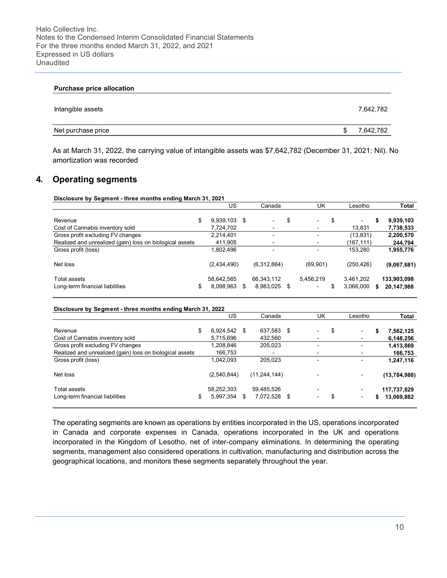| <b>Purchase price allocation</b> |   |           |
|----------------------------------|---|-----------|
| Intangible assets                |   | 7,642,782 |
| Net purchase price               | S | 7,642,782 |

As at March 31, 2022, the carrying value of intangible assets was \$7,642,782 (December 31, 2021: Nil). No amortization was recorded

## 4. Operating segments

Disclosure by Segment - three months ending March 31, 2021

|                                                                                 | US                            |    | Canada                                     |     | UK                                               | Lesotho                            |    | Total                     |
|---------------------------------------------------------------------------------|-------------------------------|----|--------------------------------------------|-----|--------------------------------------------------|------------------------------------|----|---------------------------|
| Revenue<br>Cost of Cannabis inventory sold                                      | \$<br>9,939,103<br>7,724,702  | S. | $\overline{\phantom{0}}$<br>$\blacksquare$ | \$  | \$<br>$\overline{\phantom{a}}$<br>$\blacksquare$ | $\overline{\phantom{0}}$<br>13,831 | s  | 9,939,103<br>7,738,533    |
| Gross profit excluding FV changes                                               | 2.214.401                     |    | $\blacksquare$                             |     | $\blacksquare$                                   | (13, 831)                          |    | 2,200,570                 |
| Realized and unrealized (gain) loss on biological assets<br>Gross profit (loss) | 411,905<br>1,802,496          |    | $\blacksquare$<br>$\overline{\phantom{0}}$ |     | $\blacksquare$<br>$\overline{\phantom{0}}$       | (167,111)<br>153.280               |    | 244,794<br>1,955,776      |
| Net loss                                                                        | (2,434,490)                   |    | (6,312,864)                                |     | (69,901)                                         | (250, 426)                         |    | (9,067,681)               |
| Total assets<br>Long-term financial liabilities                                 | \$<br>58,642,565<br>8,098,963 | S  | 66,343,112<br>8,983,025                    | -\$ | 5.456.219<br>$\overline{\phantom{0}}$            | 3,461,202<br>3,066,000             | 5. | 133,903,098<br>20,147,988 |

#### Disclosure by Segment - three months ending March 31, 2022

|                                                          | US                            | Canada                        | UK                                                         |   | Lesotho                  | Total                           |
|----------------------------------------------------------|-------------------------------|-------------------------------|------------------------------------------------------------|---|--------------------------|---------------------------------|
| Revenue                                                  | \$<br>6,924,542 \$            | 637,583 \$                    | -                                                          | S | $\overline{\phantom{0}}$ | \$<br>7,562,125                 |
| Cost of Cannabis inventory sold                          | 5,715,696                     | 432,560                       | $\overline{\phantom{a}}$                                   |   |                          | 6,148,256                       |
| Gross profit excluding FV changes                        | 1,208,846                     | 205,023                       | $\overline{\phantom{0}}$                                   |   |                          | 1,413,869                       |
| Realized and unrealized (gain) loss on biological assets | 166,753                       |                               | $\blacksquare$                                             |   |                          | 166,753                         |
| Gross profit (loss)                                      | 1.042.093                     | 205,023                       | $\blacksquare$                                             |   |                          | 1,247,116                       |
| Net loss                                                 | (2,540,844)                   | (11, 244, 144)                |                                                            |   |                          | (13, 784, 988)                  |
| Total assets<br>Long-term financial liabilities          | \$<br>58,252,303<br>5,997,354 | \$<br>59,485,526<br>7,072,528 | \$<br>$\overline{\phantom{0}}$<br>$\overline{\phantom{0}}$ |   | $\blacksquare$           | \$<br>117,737,829<br>13,069,882 |

The operating segments are known as operations by entities incorporated in the US, operations incorporated in Canada and corporate expenses in Canada, operations incorporated in the UK and operations incorporated in the Kingdom of Lesotho, net of inter-company eliminations. In determining the operating segments, management also considered operations in cultivation, manufacturing and distribution across the geographical locations, and monitors these segments separately throughout the year.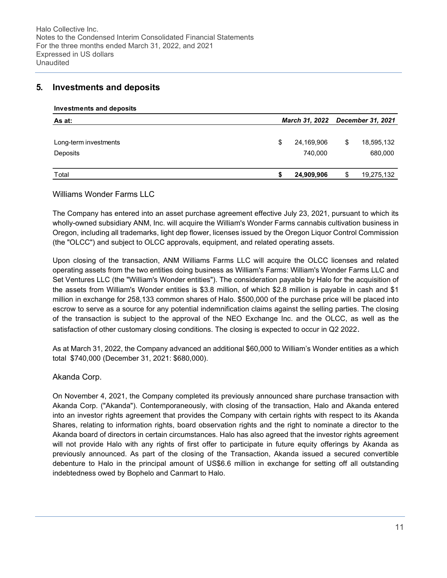## 5. Investments and deposits

#### Investments and deposits

| As at:                |   |            | March 31, 2022 December 31, 2021 |            |  |  |
|-----------------------|---|------------|----------------------------------|------------|--|--|
|                       |   |            |                                  |            |  |  |
| Long-term investments | S | 24,169,906 | \$                               | 18,595,132 |  |  |
| Deposits              |   | 740,000    |                                  | 680,000    |  |  |
| Total                 |   | 24,909,906 | \$                               | 19,275,132 |  |  |

### Williams Wonder Farms LLC

The Company has entered into an asset purchase agreement effective July 23, 2021, pursuant to which its wholly-owned subsidiary ANM, Inc. will acquire the William's Wonder Farms cannabis cultivation business in Oregon, including all trademarks, light dep flower, licenses issued by the Oregon Liquor Control Commission (the "OLCC") and subject to OLCC approvals, equipment, and related operating assets.

Upon closing of the transaction, ANM Williams Farms LLC will acquire the OLCC licenses and related operating assets from the two entities doing business as William's Farms: William's Wonder Farms LLC and Set Ventures LLC (the "William's Wonder entities"). The consideration payable by Halo for the acquisition of the assets from William's Wonder entities is \$3.8 million, of which \$2.8 million is payable in cash and \$1 million in exchange for 258,133 common shares of Halo. \$500,000 of the purchase price will be placed into escrow to serve as a source for any potential indemnification claims against the selling parties. The closing of the transaction is subject to the approval of the NEO Exchange Inc. and the OLCC, as well as the satisfaction of other customary closing conditions. The closing is expected to occur in Q2 2022.

As at March 31, 2022, the Company advanced an additional \$60,000 to William's Wonder entities as a which total \$740,000 (December 31, 2021: \$680,000).

#### Akanda Corp.

On November 4, 2021, the Company completed its previously announced share purchase transaction with Akanda Corp. ("Akanda"). Contemporaneously, with closing of the transaction, Halo and Akanda entered into an investor rights agreement that provides the Company with certain rights with respect to its Akanda Shares, relating to information rights, board observation rights and the right to nominate a director to the Akanda board of directors in certain circumstances. Halo has also agreed that the investor rights agreement will not provide Halo with any rights of first offer to participate in future equity offerings by Akanda as previously announced. As part of the closing of the Transaction, Akanda issued a secured convertible debenture to Halo in the principal amount of US\$6.6 million in exchange for setting off all outstanding indebtedness owed by Bophelo and Canmart to Halo.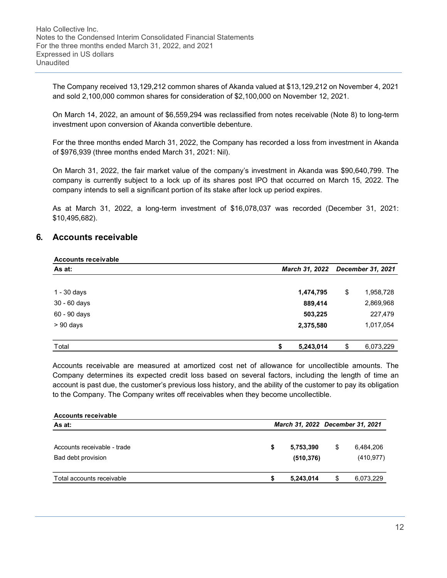The Company received 13,129,212 common shares of Akanda valued at \$13,129,212 on November 4, 2021 and sold 2,100,000 common shares for consideration of \$2,100,000 on November 12, 2021.

On March 14, 2022, an amount of \$6,559,294 was reclassified from notes receivable (Note 8) to long-term investment upon conversion of Akanda convertible debenture.

For the three months ended March 31, 2022, the Company has recorded a loss from investment in Akanda of \$976,939 (three months ended March 31, 2021: Nil).

On March 31, 2022, the fair market value of the company's investment in Akanda was \$90,640,799. The company is currently subject to a lock up of its shares post IPO that occurred on March 15, 2022. The company intends to sell a significant portion of its stake after lock up period expires.

As at March 31, 2022, a long-term investment of \$16,078,037 was recorded (December 31, 2021: \$10,495,682).

## 6. Accounts receivable

| <b>Accounts receivable</b> |                 |    |                          |
|----------------------------|-----------------|----|--------------------------|
| As at:                     | March 31, 2022  |    | <b>December 31, 2021</b> |
|                            |                 |    |                          |
| 1 - 30 days                | 1,474,795       | \$ | 1,958,728                |
| $30 - 60$ days             | 889,414         |    | 2,869,968                |
| 60 - 90 days               | 503,225         |    | 227,479                  |
| $> 90$ days                | 2,375,580       |    | 1,017,054                |
|                            |                 |    |                          |
| Total                      | 5,243,014<br>\$ | \$ | 6,073,229                |

Accounts receivable are measured at amortized cost net of allowance for uncollectible amounts. The Company determines its expected credit loss based on several factors, including the length of time an account is past due, the customer's previous loss history, and the ability of the customer to pay its obligation to the Company. The Company writes off receivables when they become uncollectible.

| <b>Accounts receivable</b>                                  |                                  |                         |    |                         |  |  |  |
|-------------------------------------------------------------|----------------------------------|-------------------------|----|-------------------------|--|--|--|
| As at:<br>Accounts receivable - trade<br>Bad debt provision | March 31, 2022 December 31, 2021 |                         |    |                         |  |  |  |
|                                                             | S                                | 5,753,390<br>(510, 376) | \$ | 6,484,206<br>(410, 977) |  |  |  |
| Total accounts receivable                                   |                                  | 5,243,014               | S  | 6,073,229               |  |  |  |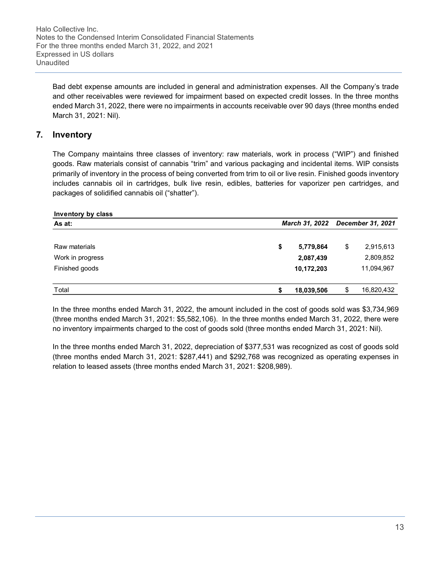Halo Collective Inc. Notes to the Condensed Interim Consolidated Financial Statements For the three months ended March 31, 2022, and 2021 Expressed in US dollars **Unaudited** 

Bad debt expense amounts are included in general and administration expenses. All the Company's trade and other receivables were reviewed for impairment based on expected credit losses. In the three months ended March 31, 2022, there were no impairments in accounts receivable over 90 days (three months ended March 31, 2021: Nil).

## 7. Inventory

The Company maintains three classes of inventory: raw materials, work in process ("WIP") and finished goods. Raw materials consist of cannabis "trim" and various packaging and incidental items. WIP consists primarily of inventory in the process of being converted from trim to oil or live resin. Finished goods inventory includes cannabis oil in cartridges, bulk live resin, edibles, batteries for vaporizer pen cartridges, and packages of solidified cannabis oil ("shatter").

| Inventory by class |                       |                          |
|--------------------|-----------------------|--------------------------|
| As at:             | <b>March 31, 2022</b> | <b>December 31, 2021</b> |
|                    |                       |                          |
| Raw materials      | \$<br>5,779,864       | \$<br>2,915,613          |
| Work in progress   | 2,087,439             | 2,809,852                |
| Finished goods     | 10,172,203            | 11,094,967               |
| Total              | 18,039,506            | \$<br>16,820,432         |

In the three months ended March 31, 2022, the amount included in the cost of goods sold was \$3,734,969 (three months ended March 31, 2021: \$5,582,106). In the three months ended March 31, 2022, there were no inventory impairments charged to the cost of goods sold (three months ended March 31, 2021: Nil).

In the three months ended March 31, 2022, depreciation of \$377,531 was recognized as cost of goods sold (three months ended March 31, 2021: \$287,441) and \$292,768 was recognized as operating expenses in relation to leased assets (three months ended March 31, 2021: \$208,989).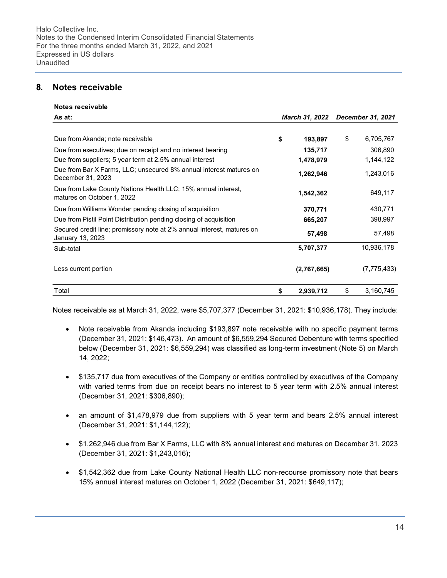# 8. Notes receivable

#### Notes receivable

| As at:                                                                                      | March 31, 2022 |             | December 31, 2021 |  |  |
|---------------------------------------------------------------------------------------------|----------------|-------------|-------------------|--|--|
|                                                                                             |                |             |                   |  |  |
| Due from Akanda; note receivable                                                            | \$             | 193,897     | \$<br>6,705,767   |  |  |
| Due from executives; due on receipt and no interest bearing                                 |                | 135,717     | 306,890           |  |  |
| Due from suppliers; 5 year term at 2.5% annual interest                                     |                | 1,478,979   | 1,144,122         |  |  |
| Due from Bar X Farms, LLC; unsecured 8% annual interest matures on<br>December 31, 2023     |                | 1,262,946   | 1,243,016         |  |  |
| Due from Lake County Nations Health LLC; 15% annual interest,<br>matures on October 1, 2022 |                | 1,542,362   | 649,117           |  |  |
| Due from Williams Wonder pending closing of acquisition                                     |                | 370,771     | 430,771           |  |  |
| Due from Pistil Point Distribution pending closing of acquisition                           |                | 665,207     | 398,997           |  |  |
| Secured credit line; promissory note at 2% annual interest, matures on<br>January 13, 2023  |                | 57,498      | 57,498            |  |  |
| Sub-total                                                                                   |                | 5,707,377   | 10,936,178        |  |  |
| Less current portion                                                                        |                | (2,767,665) | (7, 775, 433)     |  |  |
| Total                                                                                       | \$             | 2,939,712   | \$<br>3,160,745   |  |  |

Notes receivable as at March 31, 2022, were \$5,707,377 (December 31, 2021: \$10,936,178). They include:

- Note receivable from Akanda including \$193,897 note receivable with no specific payment terms (December 31, 2021: \$146,473). An amount of \$6,559,294 Secured Debenture with terms specified below (December 31, 2021: \$6,559,294) was classified as long-term investment (Note 5) on March 14, 2022;
- \$135,717 due from executives of the Company or entities controlled by executives of the Company with varied terms from due on receipt bears no interest to 5 year term with 2.5% annual interest (December 31, 2021: \$306,890);
- an amount of \$1,478,979 due from suppliers with 5 year term and bears 2.5% annual interest (December 31, 2021: \$1,144,122);
- \$1,262,946 due from Bar X Farms, LLC with 8% annual interest and matures on December 31, 2023 (December 31, 2021: \$1,243,016);
- \$1,542,362 due from Lake County National Health LLC non-recourse promissory note that bears 15% annual interest matures on October 1, 2022 (December 31, 2021: \$649,117);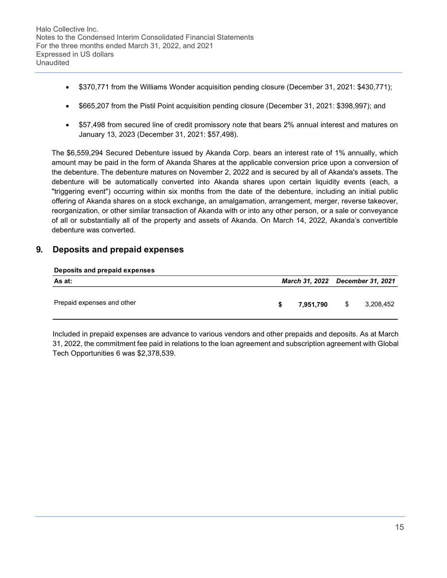- \$370,771 from the Williams Wonder acquisition pending closure (December 31, 2021: \$430,771);
- \$665,207 from the Pistil Point acquisition pending closure (December 31, 2021: \$398,997); and
- \$57,498 from secured line of credit promissory note that bears 2% annual interest and matures on January 13, 2023 (December 31, 2021: \$57,498).

The \$6,559,294 Secured Debenture issued by Akanda Corp. bears an interest rate of 1% annually, which amount may be paid in the form of Akanda Shares at the applicable conversion price upon a conversion of the debenture. The debenture matures on November 2, 2022 and is secured by all of Akanda's assets. The debenture will be automatically converted into Akanda shares upon certain liquidity events (each, a "triggering event") occurring within six months from the date of the debenture, including an initial public offering of Akanda shares on a stock exchange, an amalgamation, arrangement, merger, reverse takeover, reorganization, or other similar transaction of Akanda with or into any other person, or a sale or conveyance of all or substantially all of the property and assets of Akanda. On March 14, 2022, Akanda's convertible debenture was converted.

# 9. Deposits and prepaid expenses

#### Deposits and prepaid expenses

| As at:                     | March 31, 2022 December 31, 2021 |           |     |           |  |  |
|----------------------------|----------------------------------|-----------|-----|-----------|--|--|
| Prepaid expenses and other | S.                               | 7.951.790 | - S | 3,208,452 |  |  |

Included in prepaid expenses are advance to various vendors and other prepaids and deposits. As at March 31, 2022, the commitment fee paid in relations to the loan agreement and subscription agreement with Global Tech Opportunities 6 was \$2,378,539.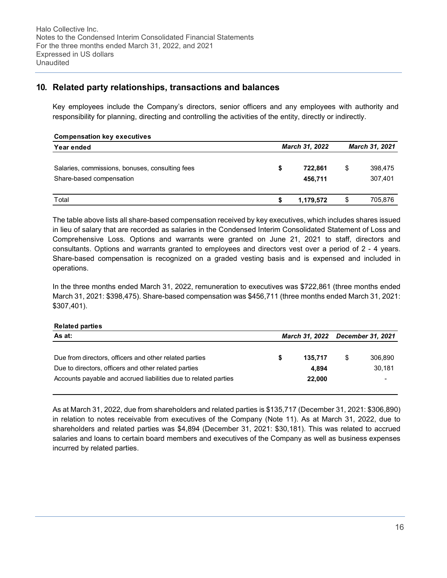# 10. Related party relationships, transactions and balances

Key employees include the Company's directors, senior officers and any employees with authority and responsibility for planning, directing and controlling the activities of the entity, directly or indirectly.

| <b>Compensation key executives</b>                                          |   |                    |                          |
|-----------------------------------------------------------------------------|---|--------------------|--------------------------|
| Year ended                                                                  |   | March 31, 2022     | <b>March 31, 2021</b>    |
| Salaries, commissions, bonuses, consulting fees<br>Share-based compensation | S | 722.861<br>456,711 | \$<br>398,475<br>307,401 |
| Total                                                                       |   | 1,179,572          | \$<br>705,876            |

The table above lists all share-based compensation received by key executives, which includes shares issued in lieu of salary that are recorded as salaries in the Condensed Interim Consolidated Statement of Loss and Comprehensive Loss. Options and warrants were granted on June 21, 2021 to staff, directors and consultants. Options and warrants granted to employees and directors vest over a period of 2 - 4 years. Share-based compensation is recognized on a graded vesting basis and is expensed and included in operations.

In the three months ended March 31, 2022, remuneration to executives was \$722,861 (three months ended March 31, 2021: \$398,475). Share-based compensation was \$456,711 (three months ended March 31, 2021: \$307,401).

| <b>Related parties</b>                                          |                                  |               |
|-----------------------------------------------------------------|----------------------------------|---------------|
| As at:                                                          | March 31, 2022 December 31, 2021 |               |
|                                                                 |                                  |               |
| Due from directors, officers and other related parties          | 135.717                          | \$<br>306,890 |
| Due to directors, officers and other related parties            | 4.894                            | 30,181        |
| Accounts payable and accrued liabilities due to related parties | 22,000                           |               |
|                                                                 |                                  |               |

As at March 31, 2022, due from shareholders and related parties is \$135,717 (December 31, 2021: \$306,890) in relation to notes receivable from executives of the Company (Note 11). As at March 31, 2022, due to shareholders and related parties was \$4,894 (December 31, 2021: \$30,181). This was related to accrued salaries and loans to certain board members and executives of the Company as well as business expenses incurred by related parties.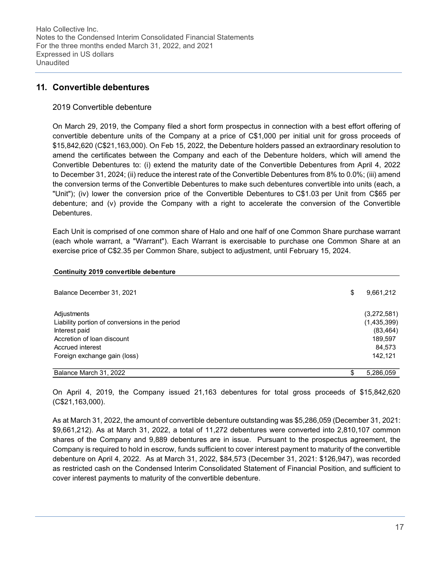## 11. Convertible debentures

#### 2019 Convertible debenture

On March 29, 2019, the Company filed a short form prospectus in connection with a best effort offering of convertible debenture units of the Company at a price of C\$1,000 per initial unit for gross proceeds of \$15,842,620 (C\$21,163,000). On Feb 15, 2022, the Debenture holders passed an extraordinary resolution to amend the certificates between the Company and each of the Debenture holders, which will amend the Convertible Debentures to: (i) extend the maturity date of the Convertible Debentures from April 4, 2022 to December 31, 2024; (ii) reduce the interest rate of the Convertible Debentures from 8% to 0.0%; (iii) amend the conversion terms of the Convertible Debentures to make such debentures convertible into units (each, a "Unit"); (iv) lower the conversion price of the Convertible Debentures to C\$1.03 per Unit from C\$65 per debenture; and (v) provide the Company with a right to accelerate the conversion of the Convertible Debentures.

Each Unit is comprised of one common share of Halo and one half of one Common Share purchase warrant (each whole warrant, a "Warrant"). Each Warrant is exercisable to purchase one Common Share at an exercise price of C\$2.35 per Common Share, subject to adjustment, until February 15, 2024.

| Balance December 31, 2021                                                                                                                                        | \$<br>9,661,212                                                         |
|------------------------------------------------------------------------------------------------------------------------------------------------------------------|-------------------------------------------------------------------------|
| Adjustments<br>Liability portion of conversions in the period<br>Interest paid<br>Accretion of loan discount<br>Accrued interest<br>Foreign exchange gain (loss) | (3,272,581)<br>(1,435,399)<br>(83, 464)<br>189,597<br>84,573<br>142,121 |
| Balance March 31, 2022                                                                                                                                           | \$<br>5,286,059                                                         |

On April 4, 2019, the Company issued 21,163 debentures for total gross proceeds of \$15,842,620 (C\$21,163,000).

As at March 31, 2022, the amount of convertible debenture outstanding was \$5,286,059 (December 31, 2021: \$9,661,212). As at March 31, 2022, a total of 11,272 debentures were converted into 2,810,107 common shares of the Company and 9,889 debentures are in issue. Pursuant to the prospectus agreement, the Company is required to hold in escrow, funds sufficient to cover interest payment to maturity of the convertible debenture on April 4, 2022. As at March 31, 2022, \$84,573 (December 31, 2021: \$126,947), was recorded as restricted cash on the Condensed Interim Consolidated Statement of Financial Position, and sufficient to cover interest payments to maturity of the convertible debenture.

#### Continuity 2019 convertible debenture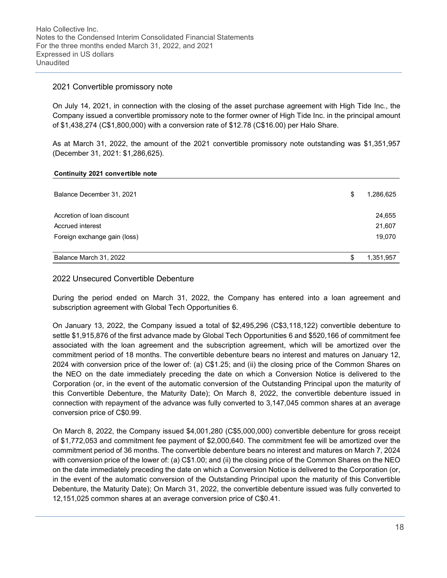#### 2021 Convertible promissory note

On July 14, 2021, in connection with the closing of the asset purchase agreement with High Tide Inc., the Company issued a convertible promissory note to the former owner of High Tide Inc. in the principal amount of \$1,438,274 (C\$1,800,000) with a conversion rate of \$12.78 (C\$16.00) per Halo Share.

As at March 31, 2022, the amount of the 2021 convertible promissory note outstanding was \$1,351,957 (December 31, 2021: \$1,286,625).

|  |  | Continuity 2021 convertible note |  |
|--|--|----------------------------------|--|
|--|--|----------------------------------|--|

| Balance December 31, 2021    | \$<br>1,286,625 |
|------------------------------|-----------------|
| Accretion of loan discount   | 24,655          |
| Accrued interest             | 21,607          |
| Foreign exchange gain (loss) | 19,070          |
| Balance March 31, 2022       | \$<br>1,351,957 |

#### 2022 Unsecured Convertible Debenture

During the period ended on March 31, 2022, the Company has entered into a loan agreement and subscription agreement with Global Tech Opportunities 6.

On January 13, 2022, the Company issued a total of \$2,495,296 (C\$3,118,122) convertible debenture to settle \$1,915,876 of the first advance made by Global Tech Opportunities 6 and \$520,166 of commitment fee associated with the loan agreement and the subscription agreement, which will be amortized over the commitment period of 18 months. The convertible debenture bears no interest and matures on January 12, 2024 with conversion price of the lower of: (a) C\$1.25; and (ii) the closing price of the Common Shares on the NEO on the date immediately preceding the date on which a Conversion Notice is delivered to the Corporation (or, in the event of the automatic conversion of the Outstanding Principal upon the maturity of this Convertible Debenture, the Maturity Date); On March 8, 2022, the convertible debenture issued in connection with repayment of the advance was fully converted to 3,147,045 common shares at an average conversion price of C\$0.99.

On March 8, 2022, the Company issued \$4,001,280 (C\$5,000,000) convertible debenture for gross receipt of \$1,772,053 and commitment fee payment of \$2,000,640. The commitment fee will be amortized over the commitment period of 36 months. The convertible debenture bears no interest and matures on March 7, 2024 with conversion price of the lower of: (a) C\$1.00; and (ii) the closing price of the Common Shares on the NEO on the date immediately preceding the date on which a Conversion Notice is delivered to the Corporation (or, in the event of the automatic conversion of the Outstanding Principal upon the maturity of this Convertible Debenture, the Maturity Date); On March 31, 2022, the convertible debenture issued was fully converted to 12,151,025 common shares at an average conversion price of C\$0.41.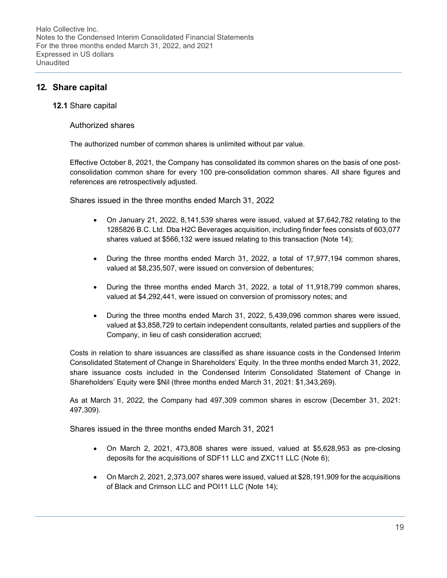# 12. Share capital

#### 12.1 Share capital

#### Authorized shares

The authorized number of common shares is unlimited without par value.

Effective October 8, 2021, the Company has consolidated its common shares on the basis of one postconsolidation common share for every 100 pre-consolidation common shares. All share figures and references are retrospectively adjusted.

Shares issued in the three months ended March 31, 2022

- On January 21, 2022, 8,141,539 shares were issued, valued at \$7,642,782 relating to the 1285826 B.C. Ltd. Dba H2C Beverages acquisition, including finder fees consists of 603,077 shares valued at \$566,132 were issued relating to this transaction (Note 14);
- During the three months ended March 31, 2022, a total of 17,977,194 common shares, valued at \$8,235,507, were issued on conversion of debentures;
- During the three months ended March 31, 2022, a total of 11,918,799 common shares, valued at \$4,292,441, were issued on conversion of promissory notes; and
- During the three months ended March 31, 2022, 5,439,096 common shares were issued, valued at \$3,858,729 to certain independent consultants, related parties and suppliers of the Company, in lieu of cash consideration accrued;

Costs in relation to share issuances are classified as share issuance costs in the Condensed Interim Consolidated Statement of Change in Shareholders' Equity. In the three months ended March 31, 2022, share issuance costs included in the Condensed Interim Consolidated Statement of Change in Shareholders' Equity were \$Nil (three months ended March 31, 2021: \$1,343,269).

As at March 31, 2022, the Company had 497,309 common shares in escrow (December 31, 2021: 497,309).

Shares issued in the three months ended March 31, 2021

- On March 2, 2021, 473,808 shares were issued, valued at \$5,628,953 as pre-closing deposits for the acquisitions of SDF11 LLC and ZXC11 LLC (Note 6);
- On March 2, 2021, 2,373,007 shares were issued, valued at \$28,191,909 for the acquisitions of Black and Crimson LLC and POI11 LLC (Note 14);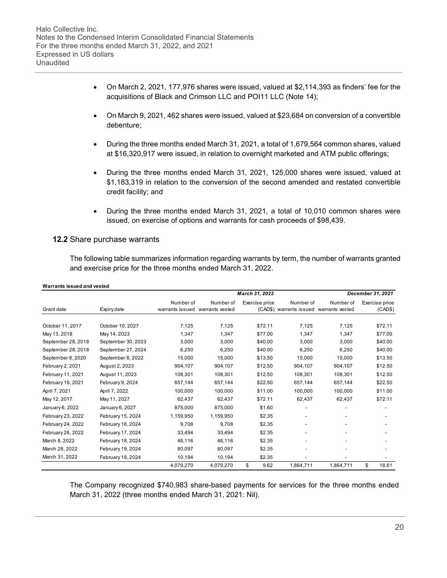- On March 2, 2021, 177,976 shares were issued, valued at \$2,114,393 as finders' fee for the acquisitions of Black and Crimson LLC and POI11 LLC (Note 14);
- On March 9, 2021, 462 shares were issued, valued at \$23,684 on conversion of a convertible debenture;
- During the three months ended March 31, 2021, a total of 1,679,564 common shares, valued at \$16,320,917 were issued, in relation to overnight marketed and ATM public offerings;
- During the three months ended March 31, 2021, 125,000 shares were issued, valued at \$1,183,319 in relation to the conversion of the second amended and restated convertible credit facility; and
- During the three months ended March 31, 2021, a total of 10,010 common shares were issued, on exercise of options and warrants for cash proceeds of \$98,439.

#### 12.2 Share purchase warrants

The following table summarizes information regarding warrants by term, the number of warrants granted and exercise price for the three months ended March 31, 2022.

| Warrants issued and vested |                    |                                 |           |                |                         |                          |                   |  |  |
|----------------------------|--------------------|---------------------------------|-----------|----------------|-------------------------|--------------------------|-------------------|--|--|
|                            |                    | March 31, 2022                  |           |                |                         |                          | December 31, 2021 |  |  |
|                            |                    | Number of                       | Number of | Exercise price | Number of               | Number of                | Exercise price    |  |  |
| Grant date                 | Expiry date        | warrants issued warrants vested |           |                | (CAD\$) warrants issued | warrants vested          | (CAD\$)           |  |  |
|                            |                    |                                 |           |                |                         |                          |                   |  |  |
| October 11, 2017           | October 10, 2027   | 7.125                           | 7.125     | \$72.11        | 7.125                   | 7.125                    | \$72.11           |  |  |
| May 13, 2018               | May 14, 2023       | 1,347                           | 1,347     | \$77.00        | 1.347                   | 1,347                    | \$77.00           |  |  |
| September 28, 2018         | September 30, 2023 | 3,000                           | 3,000     | \$40.00        | 3,000                   | 3,000                    | \$40.00           |  |  |
| September 28, 2018         | September 27, 2024 | 6,250                           | 6,250     | \$40.00        | 6,250                   | 6,250                    | \$40.00           |  |  |
| September 8, 2020          | September 8, 2022  | 15,000                          | 15,000    | \$13.50        | 15,000                  | 15,000                   | \$13.50           |  |  |
| February 2, 2021           | August 2, 2023     | 904,107                         | 904,107   | \$12.50        | 904,107                 | 904,107                  | \$12.50           |  |  |
| February 11, 2021          | August 11, 2023    | 108,301                         | 108.301   | \$12.50        | 108,301                 | 108.301                  | \$12.50           |  |  |
| February 19, 2021          | February 9, 2024   | 657,144                         | 657,144   | \$22.50        | 657,144                 | 657,144                  | \$22.50           |  |  |
| April 7, 2021              | April 7, 2022      | 100,000                         | 100,000   | \$11.00        | 100,000                 | 100,000                  | \$11.00           |  |  |
| May 12, 2017               | May 11, 2027       | 62,437                          | 62.437    | \$72.11        | 62,437                  | 62,437                   | \$72.11           |  |  |
| January 6, 2022            | January 6, 2027    | 875,000                         | 875.000   | \$1.60         |                         | $\overline{\phantom{a}}$ |                   |  |  |
| February 23, 2022          | February 15, 2024  | 1,159,950                       | 1,159,950 | \$2.35         |                         |                          |                   |  |  |
| February 24, 2022          | February 16, 2024  | 9.708                           | 9.708     | \$2.35         |                         |                          |                   |  |  |
| February 28, 2022          | February 17, 2024  | 33,494                          | 33,494    | \$2.35         |                         |                          |                   |  |  |
| March 8, 2022              | February 18, 2024  | 46,116                          | 46,116    | \$2.35         |                         |                          |                   |  |  |
| March 28, 2022             | February 19, 2024  | 80,097                          | 80,097    | \$2.35         |                         |                          |                   |  |  |
| March 31, 2022             | February 19, 2024  | 10,194                          | 10,194    | \$2.35         |                         |                          |                   |  |  |
|                            |                    | 4,079,270                       | 4,079,270 | \$<br>9.62     | 1,864,711               | 1,864,711                | \$<br>18.61       |  |  |

### The Company recognized \$740,983 share-based payments for services for the three months ended March 31, 2022 (three months ended March 31, 2021: Nil).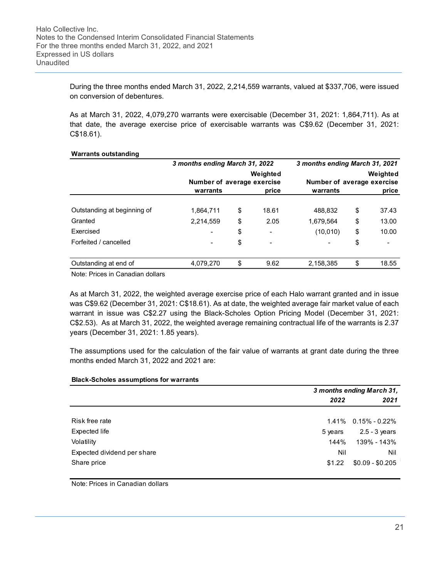During the three months ended March 31, 2022, 2,214,559 warrants, valued at \$337,706, were issued on conversion of debentures.

As at March 31, 2022, 4,079,270 warrants were exercisable (December 31, 2021: 1,864,711). As at that date, the average exercise price of exercisable warrants was C\$9.62 (December 31, 2021: C\$18.61).

| <b>Warrants outstanding</b>      |                                |                                        |                          |                                |    |                                        |  |
|----------------------------------|--------------------------------|----------------------------------------|--------------------------|--------------------------------|----|----------------------------------------|--|
|                                  | 3 months ending March 31, 2022 |                                        |                          | 3 months ending March 31, 2021 |    |                                        |  |
|                                  |                                | Weighted<br>Number of average exercise |                          |                                |    | Weighted<br>Number of average exercise |  |
|                                  | warrants                       |                                        | price                    | warrants                       |    | price                                  |  |
| Outstanding at beginning of      | 1,864,711                      | \$                                     | 18.61                    | 488,832                        | \$ | 37.43                                  |  |
| Granted                          | 2,214,559                      | \$                                     | 2.05                     | 1.679.564                      | \$ | 13.00                                  |  |
| Exercised                        | $\overline{\phantom{a}}$       | \$                                     | $\overline{\phantom{a}}$ | (10,010)                       | \$ | 10.00                                  |  |
| Forfeited / cancelled            | -                              | \$                                     | $\overline{\phantom{a}}$ |                                | \$ |                                        |  |
| Outstanding at end of            | 4,079,270                      | \$                                     | 9.62                     | 2,158,385                      | \$ | 18.55                                  |  |
| Note: Prices in Canadian dollars |                                |                                        |                          |                                |    |                                        |  |

Note: Prices in Canadian dollars

As at March 31, 2022, the weighted average exercise price of each Halo warrant granted and in issue was C\$9.62 (December 31, 2021: C\$18.61). As at date, the weighted average fair market value of each warrant in issue was C\$2.27 using the Black-Scholes Option Pricing Model (December 31, 2021: C\$2.53). As at March 31, 2022, the weighted average remaining contractual life of the warrants is 2.37 years (December 31, 2021: 1.85 years).

The assumptions used for the calculation of the fair value of warrants at grant date during the three months ended March 31, 2022 and 2021 are:

|                             |         | 3 months ending March 31, |  |  |  |  |
|-----------------------------|---------|---------------------------|--|--|--|--|
|                             | 2022    | 2021                      |  |  |  |  |
| Risk free rate              | 1.41%   | $0.15\% - 0.22\%$         |  |  |  |  |
| Expected life               | 5 years | $2.5 - 3$ years           |  |  |  |  |
| Volatility                  | 144%    | 139% - 143%               |  |  |  |  |
| Expected dividend per share | Nil     | Nil                       |  |  |  |  |
| Share price                 | \$1.22  | $$0.09 - $0.205$          |  |  |  |  |

Note: Prices in Canadian dollars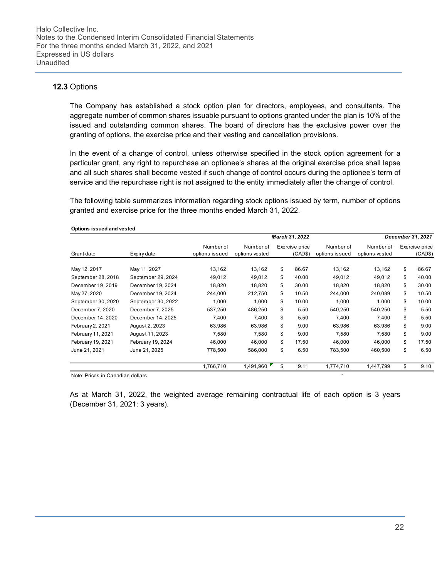## 12.3 Options

The Company has established a stock option plan for directors, employees, and consultants. The aggregate number of common shares issuable pursuant to options granted under the plan is 10% of the issued and outstanding common shares. The board of directors has the exclusive power over the granting of options, the exercise price and their vesting and cancellation provisions.

In the event of a change of control, unless otherwise specified in the stock option agreement for a particular grant, any right to repurchase an optionee's shares at the original exercise price shall lapse and all such shares shall become vested if such change of control occurs during the optionee's term of service and the repurchase right is not assigned to the entity immediately after the change of control.

The following table summarizes information regarding stock options issued by term, number of options granted and exercise price for the three months ended March 31, 2022.

| Options issued and vested |                    |                             |                             |                           |                             |                             |                           |
|---------------------------|--------------------|-----------------------------|-----------------------------|---------------------------|-----------------------------|-----------------------------|---------------------------|
|                           |                    |                             |                             | March 31, 2022            |                             |                             | December 31, 2021         |
| Grant date                | Expiry date        | Number of<br>options issued | Number of<br>options vested | Exercise price<br>(CAD\$) | Number of<br>options issued | Number of<br>options vested | Exercise price<br>(CAD\$) |
| May 12, 2017              | May 11, 2027       | 13,162                      | 13,162                      | \$<br>86.67               | 13,162                      | 13,162                      | \$<br>86.67               |
| September 28, 2018        | September 29, 2024 | 49,012                      | 49,012                      | \$<br>40.00               | 49,012                      | 49,012                      | \$<br>40.00               |
| December 19, 2019         | December 19, 2024  | 18,820                      | 18,820                      | \$<br>30.00               | 18,820                      | 18,820                      | \$<br>30.00               |
| May 27, 2020              | December 19, 2024  | 244,000                     | 212,750                     | \$<br>10.50               | 244,000                     | 240,089                     | \$<br>10.50               |
| September 30, 2020        | September 30, 2022 | 1,000                       | 1,000                       | \$<br>10.00               | 1,000                       | 1,000                       | \$<br>10.00               |
| December 7, 2020          | December 7, 2025   | 537,250                     | 486,250                     | \$<br>5.50                | 540,250                     | 540,250                     | \$<br>5.50                |
| December 14, 2020         | December 14, 2025  | 7,400                       | 7,400                       | \$<br>5.50                | 7,400                       | 7.400                       | \$<br>5.50                |
| February 2, 2021          | August 2, 2023     | 63,986                      | 63,986                      | \$<br>9.00                | 63,986                      | 63,986                      | \$<br>9.00                |
| February 11, 2021         | August 11, 2023    | 7,580                       | 7,580                       | \$<br>9.00                | 7,580                       | 7,580                       | \$<br>9.00                |
| February 19, 2021         | February 19, 2024  | 46,000                      | 46,000                      | \$<br>17.50               | 46,000                      | 46,000                      | \$<br>17.50               |
| June 21, 2021             | June 21, 2025      | 778,500                     | 586,000                     | \$<br>6.50                | 783,500                     | 460,500                     | \$<br>6.50                |
|                           |                    | 1,766,710                   | 1,491,960                   | \$<br>9.11                | 1,774,710                   | 1,447,799                   | \$<br>9.10                |

Note: Prices in Canadian dollars -

As at March 31, 2022, the weighted average remaining contractual life of each option is 3 years (December 31, 2021: 3 years).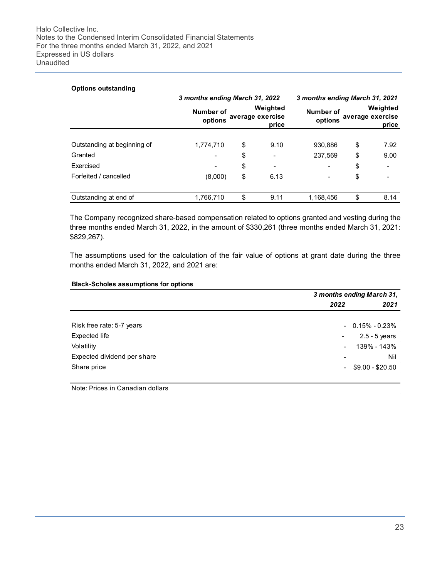| <b>Options outstanding</b>  | 3 months ending March 31, 2022                                |    | 3 months ending March 31, 2021 |                                                               |    |      |
|-----------------------------|---------------------------------------------------------------|----|--------------------------------|---------------------------------------------------------------|----|------|
|                             | Weighted<br>Number of<br>average exercise<br>options<br>price |    |                                | Weighted<br>Number of<br>average exercise<br>options<br>price |    |      |
|                             |                                                               |    |                                |                                                               |    |      |
| Outstanding at beginning of | 1,774,710                                                     | \$ | 9.10                           | 930,886                                                       | \$ | 7.92 |
| Granted                     |                                                               | \$ | $\blacksquare$                 | 237,569                                                       | \$ | 9.00 |
| Exercised                   | $\overline{\phantom{a}}$                                      | \$ | $\blacksquare$                 |                                                               | \$ |      |
| Forfeited / cancelled       | (8,000)                                                       | \$ | 6.13                           |                                                               | \$ |      |
| Outstanding at end of       | 1,766,710                                                     | \$ | 9.11                           | 1.168.456                                                     | \$ | 8.14 |

The Company recognized share-based compensation related to options granted and vesting during the three months ended March 31, 2022, in the amount of \$330,261 (three months ended March 31, 2021: \$829,267).

The assumptions used for the calculation of the fair value of options at grant date during the three months ended March 31, 2022, and 2021 are:

#### Black-Scholes assumptions for options

|                             | 3 months ending March 31, |                      |  |  |
|-----------------------------|---------------------------|----------------------|--|--|
|                             | 2022                      | 2021                 |  |  |
|                             |                           |                      |  |  |
| Risk free rate: 5-7 years   |                           | $-0.15\% - 0.23\%$   |  |  |
| Expected life               | $\blacksquare$            | $2.5 - 5$ years      |  |  |
| Volatility                  |                           | 139% - 143%          |  |  |
| Expected dividend per share | $\overline{\phantom{0}}$  | Nil                  |  |  |
| Share price                 |                           | $-$ \$9.00 - \$20.50 |  |  |

Note: Prices in Canadian dollars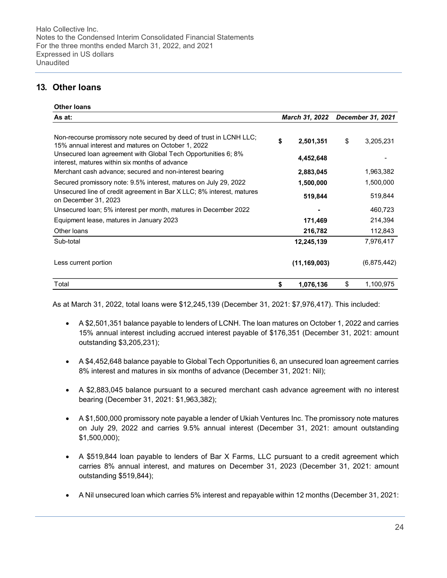# 13. Other loans

| <b>Other loans</b>                                                                                                       |    |                |    |                   |
|--------------------------------------------------------------------------------------------------------------------------|----|----------------|----|-------------------|
| March 31, 2022<br>As at:                                                                                                 |    |                |    | December 31, 2021 |
|                                                                                                                          |    |                |    |                   |
| Non-recourse promissory note secured by deed of trust in LCNH LLC;<br>15% annual interest and matures on October 1, 2022 | \$ | 2,501,351      | \$ | 3,205,231         |
| Unsecured Ioan agreement with Global Tech Opportunities 6; 8%<br>interest, matures within six months of advance          |    | 4,452,648      |    |                   |
| Merchant cash advance; secured and non-interest bearing                                                                  |    | 2,883,045      |    | 1,963,382         |
| Secured promissory note: 9.5% interest, matures on July 29, 2022                                                         |    | 1,500,000      |    | 1,500,000         |
| Unsecured line of credit agreement in Bar X LLC; 8% interest, matures<br>on December 31, 2023                            |    | 519,844        |    | 519,844           |
| Unsecured Ioan; 5% interest per month, matures in December 2022                                                          |    |                |    | 460,723           |
| Equipment lease, matures in January 2023                                                                                 |    | 171,469        |    | 214,394           |
| Other Ioans                                                                                                              |    | 216,782        |    | 112,843           |
| Sub-total                                                                                                                |    | 12,245,139     |    | 7,976,417         |
| Less current portion                                                                                                     |    | (11, 169, 003) |    | (6,875,442)       |
| Total                                                                                                                    | \$ | 1,076,136      | \$ | 1,100,975         |

As at March 31, 2022, total loans were \$12,245,139 (December 31, 2021: \$7,976,417). This included:

- A \$2,501,351 balance payable to lenders of LCNH. The loan matures on October 1, 2022 and carries 15% annual interest including accrued interest payable of \$176,351 (December 31, 2021: amount outstanding \$3,205,231);
- A \$4,452,648 balance payable to Global Tech Opportunities 6, an unsecured loan agreement carries 8% interest and matures in six months of advance (December 31, 2021: Nil);
- A \$2,883,045 balance pursuant to a secured merchant cash advance agreement with no interest bearing (December 31, 2021: \$1,963,382);
- A \$1,500,000 promissory note payable a lender of Ukiah Ventures Inc. The promissory note matures on July 29, 2022 and carries 9.5% annual interest (December 31, 2021: amount outstanding \$1,500,000);
- A \$519,844 loan payable to lenders of Bar X Farms, LLC pursuant to a credit agreement which carries 8% annual interest, and matures on December 31, 2023 (December 31, 2021: amount outstanding \$519,844);
- A Nil unsecured loan which carries 5% interest and repayable within 12 months (December 31, 2021: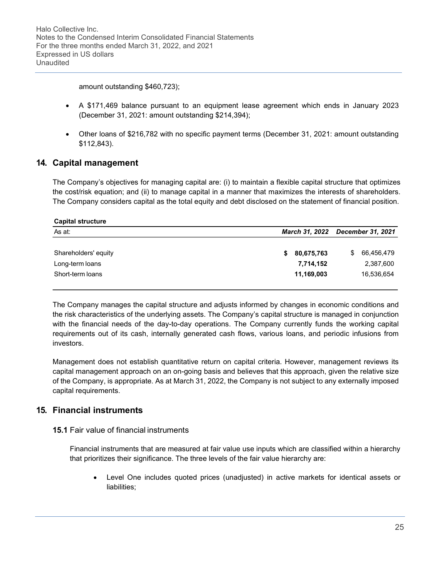amount outstanding \$460,723);

- A \$171,469 balance pursuant to an equipment lease agreement which ends in January 2023 (December 31, 2021: amount outstanding \$214,394);
- Other loans of \$216,782 with no specific payment terms (December 31, 2021: amount outstanding \$112,843).

## 14. Capital management

The Company's objectives for managing capital are: (i) to maintain a flexible capital structure that optimizes the cost/risk equation; and (ii) to manage capital in a manner that maximizes the interests of shareholders. The Company considers capital as the total equity and debt disclosed on the statement of financial position.

| <b>Capital structure</b> |                  |                                            |  |  |  |  |  |  |  |
|--------------------------|------------------|--------------------------------------------|--|--|--|--|--|--|--|
| As at:                   |                  | December 31, 2021<br><b>March 31, 2022</b> |  |  |  |  |  |  |  |
|                          |                  |                                            |  |  |  |  |  |  |  |
| Shareholders' equity     | 80,675,763<br>\$ | 66,456,479<br>S                            |  |  |  |  |  |  |  |
| Long-term loans          | 7,714,152        | 2,387,600                                  |  |  |  |  |  |  |  |
| Short-term loans         | 11,169,003       | 16,536,654                                 |  |  |  |  |  |  |  |
|                          |                  |                                            |  |  |  |  |  |  |  |

The Company manages the capital structure and adjusts informed by changes in economic conditions and the risk characteristics of the underlying assets. The Company's capital structure is managed in conjunction with the financial needs of the day-to-day operations. The Company currently funds the working capital requirements out of its cash, internally generated cash flows, various loans, and periodic infusions from investors.

Management does not establish quantitative return on capital criteria. However, management reviews its capital management approach on an on-going basis and believes that this approach, given the relative size of the Company, is appropriate. As at March 31, 2022, the Company is not subject to any externally imposed capital requirements.

## 15. Financial instruments

#### 15.1 Fair value of financial instruments

Financial instruments that are measured at fair value use inputs which are classified within a hierarchy that prioritizes their significance. The three levels of the fair value hierarchy are:

 Level One includes quoted prices (unadjusted) in active markets for identical assets or liabilities;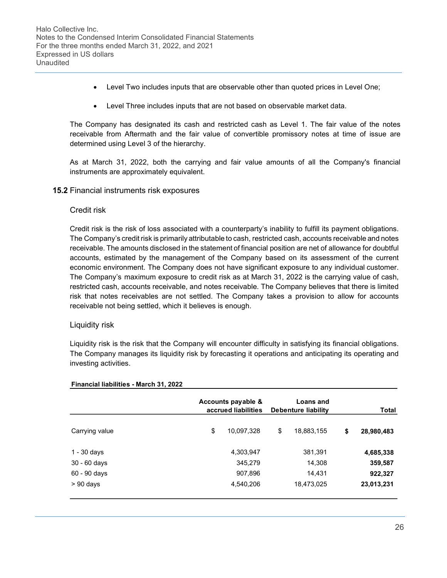- Level Two includes inputs that are observable other than quoted prices in Level One;
- Level Three includes inputs that are not based on observable market data.

The Company has designated its cash and restricted cash as Level 1. The fair value of the notes receivable from Aftermath and the fair value of convertible promissory notes at time of issue are determined using Level 3 of the hierarchy.

As at March 31, 2022, both the carrying and fair value amounts of all the Company's financial instruments are approximately equivalent.

15.2 Financial instruments risk exposures

#### Credit risk

Credit risk is the risk of loss associated with a counterparty's inability to fulfill its payment obligations. The Company's credit risk is primarily attributable to cash, restricted cash, accounts receivable and notes receivable. The amounts disclosed in the statement of financial position are net of allowance for doubtful accounts, estimated by the management of the Company based on its assessment of the current economic environment. The Company does not have significant exposure to any individual customer. The Company's maximum exposure to credit risk as at March 31, 2022 is the carrying value of cash, restricted cash, accounts receivable, and notes receivable. The Company believes that there is limited risk that notes receivables are not settled. The Company takes a provision to allow for accounts receivable not being settled, which it believes is enough.

## Liquidity risk

Liquidity risk is the risk that the Company will encounter difficulty in satisfying its financial obligations. The Company manages its liquidity risk by forecasting it operations and anticipating its operating and investing activities.

|                | Accounts payable &<br>accrued liabilities | Loans and<br>Debenture liability | <b>Total</b> |            |  |
|----------------|-------------------------------------------|----------------------------------|--------------|------------|--|
| Carrying value | \$<br>10,097,328                          | \$<br>18,883,155                 | \$           | 28,980,483 |  |
| 1 - 30 days    | 4,303,947                                 | 381,391                          |              | 4,685,338  |  |
| 30 - 60 days   | 345,279                                   | 14,308                           |              | 359,587    |  |
| 60 - 90 days   | 907,896                                   | 14,431                           |              | 922,327    |  |
| $> 90$ days    | 4,540,206                                 | 18,473,025                       |              | 23,013,231 |  |
|                |                                           |                                  |              |            |  |

#### Financial liabilities - March 31, 2022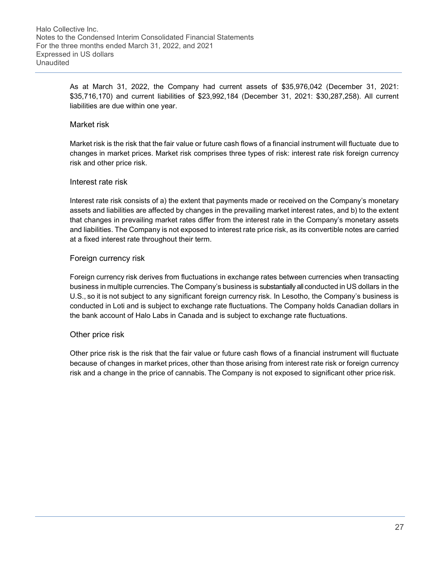As at March 31, 2022, the Company had current assets of \$35,976,042 (December 31, 2021: \$35,716,170) and current liabilities of \$23,992,184 (December 31, 2021: \$30,287,258). All current liabilities are due within one year.

#### Market risk

Market risk is the risk that the fair value or future cash flows of a financial instrument will fluctuate due to changes in market prices. Market risk comprises three types of risk: interest rate risk foreign currency risk and other price risk.

#### Interest rate risk

Interest rate risk consists of a) the extent that payments made or received on the Company's monetary assets and liabilities are affected by changes in the prevailing market interest rates, and b) to the extent that changes in prevailing market rates differ from the interest rate in the Company's monetary assets and liabilities. The Company is not exposed to interest rate price risk, as its convertible notes are carried at a fixed interest rate throughout their term.

### Foreign currency risk

Foreign currency risk derives from fluctuations in exchange rates between currencies when transacting business in multiple currencies. The Company's business is substantially all conducted in US dollars in the U.S., so it is not subject to any significant foreign currency risk. In Lesotho, the Company's business is conducted in Loti and is subject to exchange rate fluctuations. The Company holds Canadian dollars in the bank account of Halo Labs in Canada and is subject to exchange rate fluctuations.

#### Other price risk

Other price risk is the risk that the fair value or future cash flows of a financial instrument will fluctuate because of changes in market prices, other than those arising from interest rate risk or foreign currency risk and a change in the price of cannabis. The Company is not exposed to significant other price risk.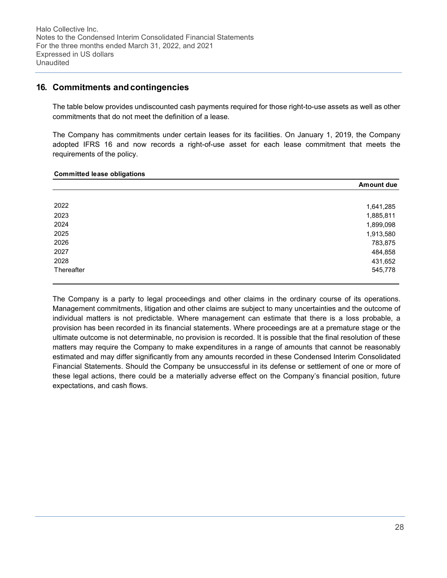## 16. Commitments and contingencies

The table below provides undiscounted cash payments required for those right-to-use assets as well as other commitments that do not meet the definition of a lease.

The Company has commitments under certain leases for its facilities. On January 1, 2019, the Company adopted IFRS 16 and now records a right-of-use asset for each lease commitment that meets the requirements of the policy.

#### Committed lease obligations

|            | <b>Amount due</b> |
|------------|-------------------|
|            |                   |
| 2022       | 1,641,285         |
| 2023       | 1,885,811         |
| 2024       | 1,899,098         |
| 2025       | 1,913,580         |
| 2026       | 783,875           |
| 2027       | 484,858           |
| 2028       | 431,652           |
| Thereafter | 545,778           |

The Company is a party to legal proceedings and other claims in the ordinary course of its operations. Management commitments, litigation and other claims are subject to many uncertainties and the outcome of individual matters is not predictable. Where management can estimate that there is a loss probable, a provision has been recorded in its financial statements. Where proceedings are at a premature stage or the ultimate outcome is not determinable, no provision is recorded. It is possible that the final resolution of these matters may require the Company to make expenditures in a range of amounts that cannot be reasonably estimated and may differ significantly from any amounts recorded in these Condensed Interim Consolidated Financial Statements. Should the Company be unsuccessful in its defense or settlement of one or more of these legal actions, there could be a materially adverse effect on the Company's financial position, future expectations, and cash flows.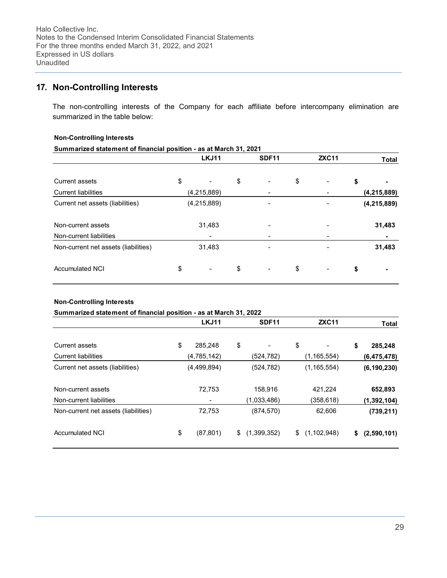# 17. Non-Controlling Interests

The non-controlling interests of the Company for each affiliate before intercompany elimination are summarized in the table below:

#### Non-Controlling Interests

| Summarized statement of financial position - as at March 31, 2021 |    |                          |    |                |    |              |    |               |  |  |
|-------------------------------------------------------------------|----|--------------------------|----|----------------|----|--------------|----|---------------|--|--|
|                                                                   |    | <b>LKJ11</b>             |    | <b>SDF11</b>   |    | <b>ZXC11</b> |    | <b>Total</b>  |  |  |
| Current assets                                                    | \$ |                          | \$ |                | \$ |              | \$ |               |  |  |
| <b>Current liabilities</b>                                        |    | (4,215,889)              |    |                |    |              |    | (4, 215, 889) |  |  |
| Current net assets (liabilities)                                  |    | (4,215,889)              |    |                |    |              |    | (4, 215, 889) |  |  |
| Non-current assets                                                |    | 31,483                   |    |                |    |              |    | 31,483        |  |  |
| Non-current liabilities                                           |    |                          |    |                |    |              |    |               |  |  |
| Non-current net assets (liabilities)                              |    | 31,483                   |    |                |    |              |    | 31,483        |  |  |
| <b>Accumulated NCI</b>                                            | \$ | $\overline{\phantom{a}}$ | \$ | $\blacksquare$ | \$ |              | \$ |               |  |  |

#### Non-Controlling Interests

| Summarized statement of financial position - as at March 31, 2022 |                 |                   |                     |                   |
|-------------------------------------------------------------------|-----------------|-------------------|---------------------|-------------------|
|                                                                   | LKJ11           | SDF <sub>11</sub> | <b>ZXC11</b>        | <b>Total</b>      |
| Current assets                                                    | \$<br>285.248   | \$                | \$                  | \$<br>285,248     |
| <b>Current liabilities</b>                                        | (4,785,142)     | (524, 782)        | (1,165,554)         | (6, 475, 478)     |
| Current net assets (liabilities)                                  | (4,499,894)     | (524, 782)        | (1, 165, 554)       | (6, 190, 230)     |
| Non-current assets                                                | 72,753          | 158,916           | 421,224             | 652,893           |
| Non-current liabilities                                           |                 | (1,033,486)       | (358,618)           | (1, 392, 104)     |
| Non-current net assets (liabilities)                              | 72,753          | (874, 570)        | 62,606              | (739, 211)        |
| Accumulated NCI                                                   | \$<br>(87, 801) | \$<br>(1,399,352) | \$<br>(1, 102, 948) | \$<br>(2,590,101) |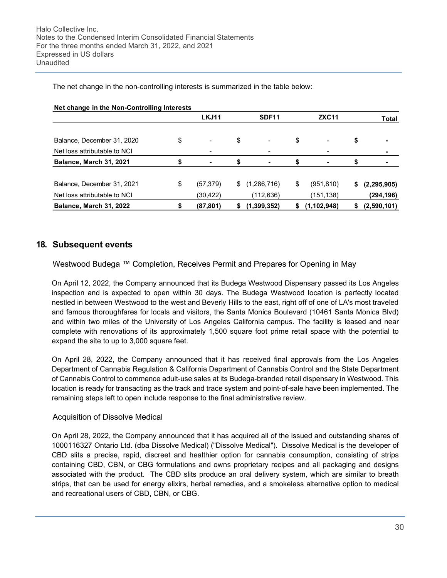Net change in the Non-Controlling Interests LKJ11 SDF11 ZXC11 Total Balance, December 31, 2020  $\frac{1}{2}$   $\frac{1}{2}$   $\frac{1}{2}$   $\frac{1}{2}$   $\frac{1}{2}$   $\frac{1}{2}$   $\frac{1}{2}$   $\frac{1}{2}$   $\frac{1}{2}$   $\frac{1}{2}$   $\frac{1}{2}$   $\frac{1}{2}$   $\frac{1}{2}$   $\frac{1}{2}$   $\frac{1}{2}$   $\frac{1}{2}$   $\frac{1}{2}$   $\frac{1}{2}$   $\frac{1}{2}$   $\frac{1$ Net loss attributable to NCI Balance, March 31, 2021 5 - \$ - \$ - \$ -Balance, December 31, 2021 \$ (57,379) \$ (1,286,716) \$ (951,810) \$ (2,295,905) Net loss attributable to NCI (30,422) (112,636) (151,138) (294,196) Balance, March 31, 2022  $\qquad \qquad$  \$ (87,801) \$ (1,399,352) \$ (1,102,948) \$ (2,590,101)

The net change in the non-controlling interests is summarized in the table below:

## 18. Subsequent events

Westwood Budega ™ Completion, Receives Permit and Prepares for Opening in May

On April 12, 2022, the Company announced that its Budega Westwood Dispensary passed its Los Angeles inspection and is expected to open within 30 days. The Budega Westwood location is perfectly located nestled in between Westwood to the west and Beverly Hills to the east, right off of one of LA's most traveled and famous thoroughfares for locals and visitors, the Santa Monica Boulevard (10461 Santa Monica Blvd) and within two miles of the University of Los Angeles California campus. The facility is leased and near complete with renovations of its approximately 1,500 square foot prime retail space with the potential to expand the site to up to 3,000 square feet.

On April 28, 2022, the Company announced that it has received final approvals from the Los Angeles Department of Cannabis Regulation & California Department of Cannabis Control and the State Department of Cannabis Control to commence adult-use sales at its Budega-branded retail dispensary in Westwood. This location is ready for transacting as the track and trace system and point-of-sale have been implemented. The remaining steps left to open include response to the final administrative review.

#### Acquisition of Dissolve Medical

On April 28, 2022, the Company announced that it has acquired all of the issued and outstanding shares of 1000116327 Ontario Ltd. (dba Dissolve Medical) ("Dissolve Medical"). Dissolve Medical is the developer of CBD slits a precise, rapid, discreet and healthier option for cannabis consumption, consisting of strips containing CBD, CBN, or CBG formulations and owns proprietary recipes and all packaging and designs associated with the product. The CBD slits produce an oral delivery system, which are similar to breath strips, that can be used for energy elixirs, herbal remedies, and a smokeless alternative option to medical and recreational users of CBD, CBN, or CBG.